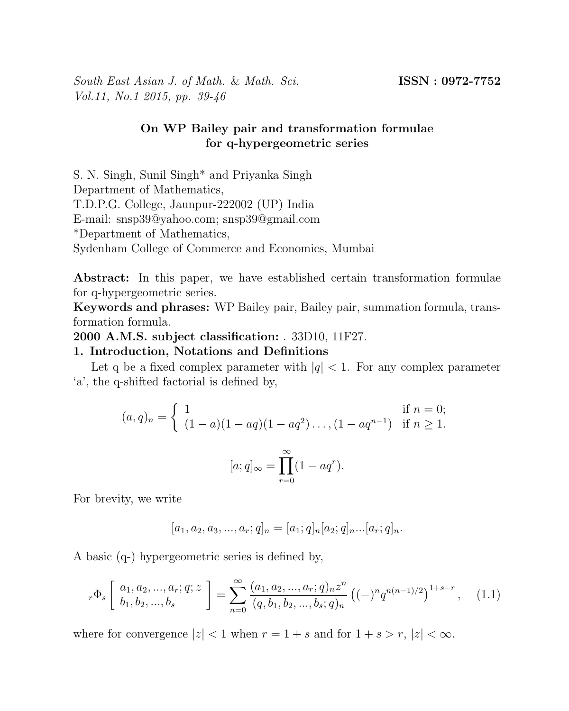South East Asian J. of Math. & Math. Sci. **ISSN** : 0972-7752 Vol.11, No.1 2015, pp. 39-46

# On WP Bailey pair and transformation formulae for q-hypergeometric series

S. N. Singh, Sunil Singh\* and Priyanka Singh Department of Mathematics, T.D.P.G. College, Jaunpur-222002 (UP) India E-mail: snsp39@yahoo.com; snsp39@gmail.com \*Department of Mathematics, Sydenham College of Commerce and Economics, Mumbai

Abstract: In this paper, we have established certain transformation formulae for q-hypergeometric series.

Keywords and phrases: WP Bailey pair, Bailey pair, summation formula, transformation formula.

2000 A.M.S. subject classification: . 33D10, 11F27.

### 1. Introduction, Notations and Definitions

Let q be a fixed complex parameter with  $|q| < 1$ . For any complex parameter 'a', the q-shifted factorial is defined by,

$$
(a,q)_n = \begin{cases} 1 & \text{if } n = 0; \\ (1-a)(1-aq)(1-aq^2)\dots(1-aq^{n-1}) & \text{if } n \ge 1. \end{cases}
$$

$$
[a;q]_{\infty} = \prod_{r=0}^{\infty} (1-aq^r).
$$

For brevity, we write

$$
[a_1, a_2, a_3, ..., a_r; q]_n = [a_1; q]_n [a_2; q]_n ... [a_r; q]_n.
$$

A basic (q-) hypergeometric series is defined by,

$$
{}_{r}\Phi_{s}\left[\begin{array}{c} a_{1}, a_{2}, ..., a_{r}; q; z\\ b_{1}, b_{2}, ..., b_{s} \end{array}\right] = \sum_{n=0}^{\infty} \frac{(a_{1}, a_{2}, ..., a_{r}; q)_{n} z^{n}}{(q, b_{1}, b_{2}, ..., b_{s}; q)_{n}} \left((-)^{n} q^{n(n-1)/2}\right)^{1+s-r}, \quad (1.1)
$$

where for convergence  $|z| < 1$  when  $r = 1 + s$  and for  $1 + s > r$ ,  $|z| < \infty$ .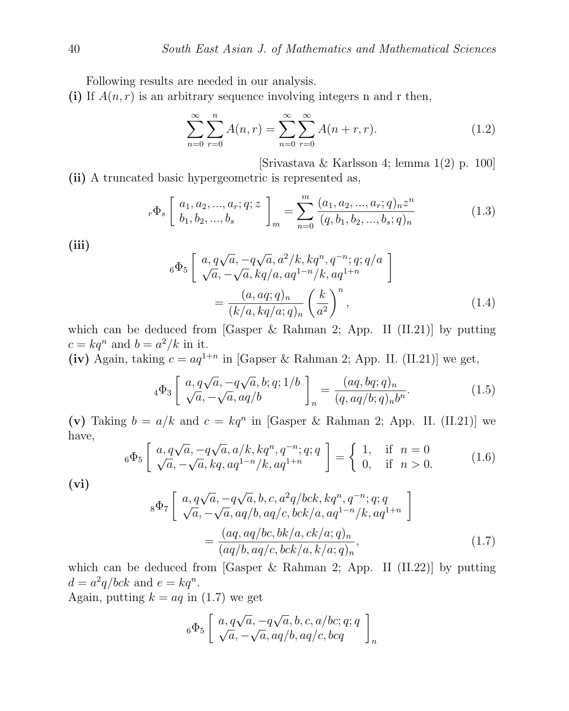Following results are needed in our analysis.

(i) If  $A(n, r)$  is an arbitrary sequence involving integers n and r then,

$$
\sum_{n=0}^{\infty} \sum_{r=0}^{n} A(n,r) = \sum_{n=0}^{\infty} \sum_{r=0}^{\infty} A(n+r,r).
$$
 (1.2)

[Srivastava & Karlsson 4; lemma 1(2) p. 100] (ii) A truncated basic hypergeometric is represented as,

$$
{}_{r}\Phi_{s}\left[\begin{array}{c} a_{1}, a_{2}, ..., a_{r}; q; z\\ b_{1}, b_{2}, ..., b_{s} \end{array}\right]_{m} = \sum_{n=0}^{m} \frac{(a_{1}, a_{2}, ..., a_{r}; q)_{n} z^{n}}{(q, b_{1}, b_{2}, ..., b_{s}; q)_{n}} \tag{1.3}
$$

(iii)

$$
{}_{6}\Phi_{5}\left[\begin{array}{l} a,q\sqrt{a},-q\sqrt{a},a^{2}/k,kq^{n},q^{-n};q;q/a\\ \sqrt{a},-\sqrt{a},kq/a,aq^{1-n}/k,aq^{1+n}\\ \end{array}\right]
$$

$$
=\frac{(a,aq;q)_{n}}{(k/a,kq/a;q)_{n}}\left(\frac{k}{a^{2}}\right)^{n},\tag{1.4}
$$

which can be deduced from [Gasper  $\&$  Rahman 2; App. II (II.21)] by putting  $c = kq^n$  and  $b = a^2/k$  in it.

(iv) Again, taking  $c = aq^{1+n}$  in [Gapser & Rahman 2; App. II. (II.21)] we get,

$$
{}_{4}\Phi_{3}\left[\begin{array}{l} a,q\sqrt{a},-q\sqrt{a},b;q;1/b\\ \sqrt{a},-\sqrt{a},aq/b \end{array}\right]_{n} = \frac{(aq,bq;q)_{n}}{(q,aq/b;q)_{n}b^{n}}.\tag{1.5}
$$

(v) Taking  $b = a/k$  and  $c = kq^n$  in [Gasper & Rahman 2; App. II. (II.21)] we have, √

$$
{}_{6}\Phi_{5}\left[\begin{array}{cc} a,q\sqrt{a},-q\sqrt{a},a/k,kq^{n},q^{-n};q;q\\ \sqrt{a},-\sqrt{a},kq,aq^{1-n}/k,aq^{1+n} \end{array}\right]=\begin{cases} 1,& \text{if } n=0\\ 0,& \text{if } n>0. \end{cases}
$$
 (1.6)

 $(vi)$ 

$$
{}_{8}\Phi_{7}\left[\begin{array}{l} a,q\sqrt{a},-q\sqrt{a},b,c,a^{2}q/bck,kq^{n},q^{-n};q;q\\ \sqrt{a},-\sqrt{a},aq/b,aq/c,bck/a,aq^{1-n}/k,aq^{1+n}\\ \end{array}\right]
$$

$$
=\frac{(aq,aq/bc,bk/a,ck/a;q)_{n}}{(aq/b,aq/c,bck/a,k/a;q)_{n}},
$$
(1.7)

which can be deduced from [Gasper & Rahman 2; App. II (II.22)] by putting  $d = a^2 q/bck$  and  $e = kq^n$ .

Again, putting  $k = aq$  in (1.7) we get

$$
{}_6\Phi_5\left[\begin{array}{l} a,q\sqrt{a},-q\sqrt{a},b,c,a/bc;q;q\\ \sqrt{a},-\sqrt{a},aq/b,aq/c,bcq\end{array}\right]_n
$$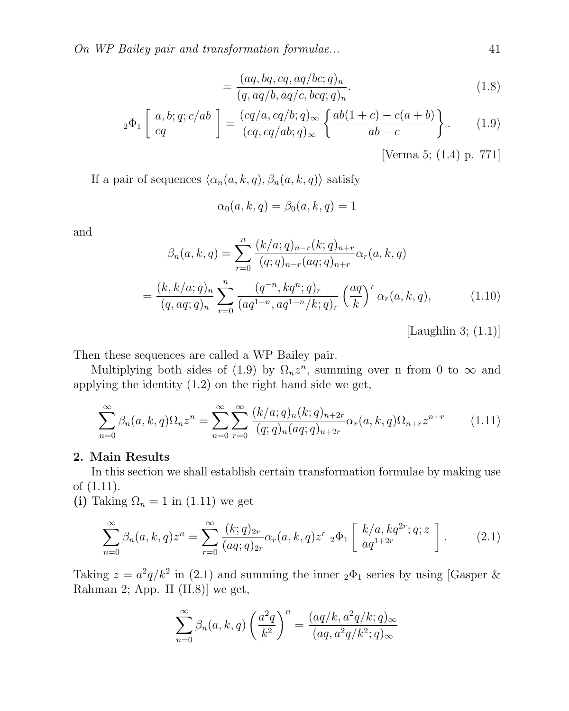On WP Bailey pair and transformation formulae... 41

$$
=\frac{(aq, bq, cq, aq/bc;q)_n}{(q, aq/b, aq/c, bcq;q)_n}.
$$
\n(1.8)

$$
{}_2\Phi_1\left[\begin{array}{c} a,b;q;c/ab\\cq\end{array}\right] = \frac{(cq/a,cq/b;q)_\infty}{(cq,cq/ab;q)_\infty} \left\{ \frac{ab(1+c)-c(a+b)}{ab-c} \right\}.
$$
 (1.9)

[Verma 5; (1.4) p. 771]

If a pair of sequences  $\langle \alpha_n(a, k, q), \beta_n(a, k, q) \rangle$  satisfy

$$
\alpha_0(a,k,q) = \beta_0(a,k,q) = 1
$$

and

$$
\beta_n(a,k,q) = \sum_{r=0}^n \frac{(k/a;q)_{n-r}(k;q)_{n+r}}{(q;q)_{n-r}(aq;q)_{n+r}} \alpha_r(a,k,q)
$$

$$
= \frac{(k,k/a;q)_n}{(q,aq;q)_n} \sum_{r=0}^n \frac{(q^{-n},kq^n;q)_r}{(aq^{1+n},aq^{1-n}/k;q)_r} \left(\frac{aq}{k}\right)^r \alpha_r(a,k,q), \qquad (1.10)
$$

[Laughlin 3;  $(1.1)$ ]

Then these sequences are called a WP Bailey pair.

Multiplying both sides of (1.9) by  $\Omega_n z^n$ , summing over n from 0 to  $\infty$  and applying the identity (1.2) on the right hand side we get,

$$
\sum_{n=0}^{\infty} \beta_n(a,k,q) \Omega_n z^n = \sum_{n=0}^{\infty} \sum_{r=0}^{\infty} \frac{(k/a;q)_n(k;q)_{n+2r}}{(q;q)_n(aq;q)_{n+2r}} \alpha_r(a,k,q) \Omega_{n+r} z^{n+r}
$$
(1.11)

#### 2. Main Results

In this section we shall establish certain transformation formulae by making use of (1.11).

(i) Taking  $\Omega_n = 1$  in (1.11) we get

$$
\sum_{n=0}^{\infty} \beta_n(a,k,q) z^n = \sum_{r=0}^{\infty} \frac{(k;q)_{2r}}{(aq;q)_{2r}} \alpha_r(a,k,q) z^r \;_2\Phi_1\left[\begin{array}{c} k/a, kq^{2r}; q; z\\aq^{1+2r} \end{array}\right].\tag{2.1}
$$

Taking  $z = a^2 q/k^2$  in (2.1) and summing the inner  ${}_2\Phi_1$  series by using [Gasper & Rahman 2; App. II (II.8)] we get,

$$
\sum_{n=0}^{\infty} \beta_n(a,k,q) \left(\frac{a^2q}{k^2}\right)^n = \frac{(aq/k, a^2q/k; q)_{\infty}}{(aq, a^2q/k^2; q)_{\infty}}
$$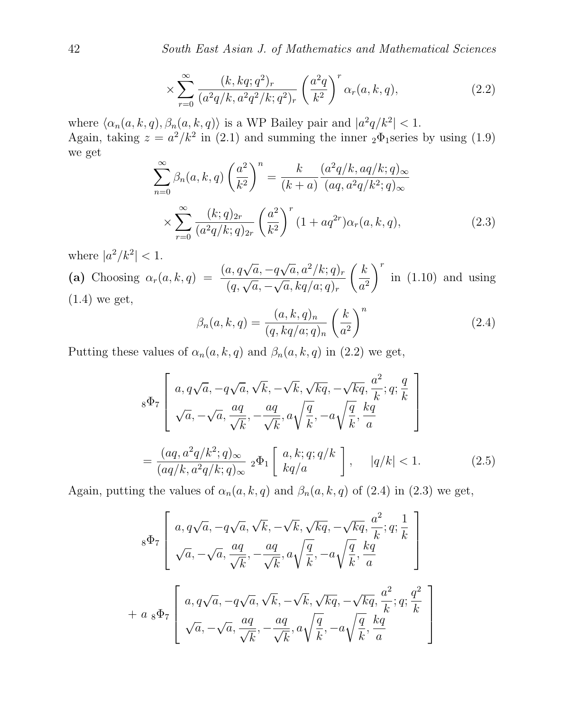42 South East Asian J. of Mathematics and Mathematical Sciences

$$
\times \sum_{r=0}^{\infty} \frac{(k, kq; q^2)_r}{(a^2q/k, a^2q^2/k; q^2)_r} \left(\frac{a^2q}{k^2}\right)^r \alpha_r(a, k, q), \tag{2.2}
$$

where  $\langle \alpha_n(a, k, q), \beta_n(a, k, q) \rangle$  is a WP Bailey pair and  $|a^2q/k^2| < 1$ . Again, taking  $z = a^2/k^2$  in (2.1) and summing the inner  ${}_2\Phi_1$  series by using (1.9) we get

$$
\sum_{n=0}^{\infty} \beta_n(a, k, q) \left(\frac{a^2}{k^2}\right)^n = \frac{k}{(k+a)} \frac{(a^2 q/k, aq/k; q)_{\infty}}{(aq, a^2 q/k^2; q)_{\infty}}
$$

$$
\times \sum_{r=0}^{\infty} \frac{(k; q)_{2r}}{(a^2 q/k; q)_{2r}} \left(\frac{a^2}{k^2}\right)^r (1 + aq^{2r}) \alpha_r(a, k, q), \tag{2.3}
$$

where  $|a^2/k^2|$  < 1.

where  $|a \nmid \kappa \mid$  < 1.<br>
(a) Choosing  $\alpha_r(a, k, q) = \frac{(a, q\sqrt{a})}{a^2}$  $\overline{a}, -q$  $\sqrt{a}, a^2/k; q)_r$  $\frac{(q,\sqrt{a},-1)}{(q,\sqrt{a},-1)}$  $\frac{9}{4}$  $\overline{a}, kq/a;q)_r$  $k$  $a^2$  $\bigwedge^r$ in (1.10) and using (1.4) we get,

$$
\beta_n(a,k,q) = \frac{(a,k,q)_n}{(q,kq/a;q)_n} \left(\frac{k}{a^2}\right)^n \tag{2.4}
$$

Putting these values of  $\alpha_n(a, k, q)$  and  $\beta_n(a, k, q)$  in (2.2) we get,

$$
{}_{8}\Phi_{7}\left[a,q\sqrt{a},-q\sqrt{a},\sqrt{k},-\sqrt{k},\sqrt{kq},-\sqrt{kq},\frac{a^{2}}{k};q;\frac{q}{k}\right] \n\sqrt{a},-\sqrt{a},\frac{aq}{\sqrt{k}},-\frac{aq}{\sqrt{k}},a\sqrt{\frac{q}{k}},-a\sqrt{\frac{q}{k}},\frac{kq}{a}\right] \n=\frac{(aq,a^{2}q/k^{2};q)_{\infty}}{(aq/k,a^{2}q/k;q)_{\infty}} {}_{2}\Phi_{1}\left[a,k;q;q/k\atop kq/a\right], |q/k|<1.
$$
\n(2.5)

Again, putting the values of  $\alpha_n(a, k, q)$  and  $\beta_n(a, k, q)$  of (2.4) in (2.3) we get,

$$
{}_{8}\Phi_{7}\left[\begin{array}{c} a,q\sqrt{a},-q\sqrt{a},\sqrt{k},-\sqrt{k},\sqrt{kq},-\sqrt{kq},\frac{a^{2}}{k};q;\frac{1}{k}\\ \sqrt{a},-\sqrt{a},\frac{aq}{\sqrt{k}},-\frac{aq}{\sqrt{k}},a\sqrt{\frac{q}{k}},-a\sqrt{\frac{q}{k}},\frac{kq}{a} \end{array}\right]
$$
  
+  $a_{8}\Phi_{7}\left[\begin{array}{c} a,q\sqrt{a},-q\sqrt{a},\sqrt{k},-\sqrt{k},\sqrt{kq},-\sqrt{kq},\frac{a^{2}}{k};q;\frac{q^{2}}{k}\\ \sqrt{a},-\sqrt{a},\frac{aq}{\sqrt{k}},-\frac{aq}{\sqrt{k}},a\sqrt{\frac{q}{k}},-a\sqrt{\frac{q}{k}},\frac{kq}{a} \end{array}\right]$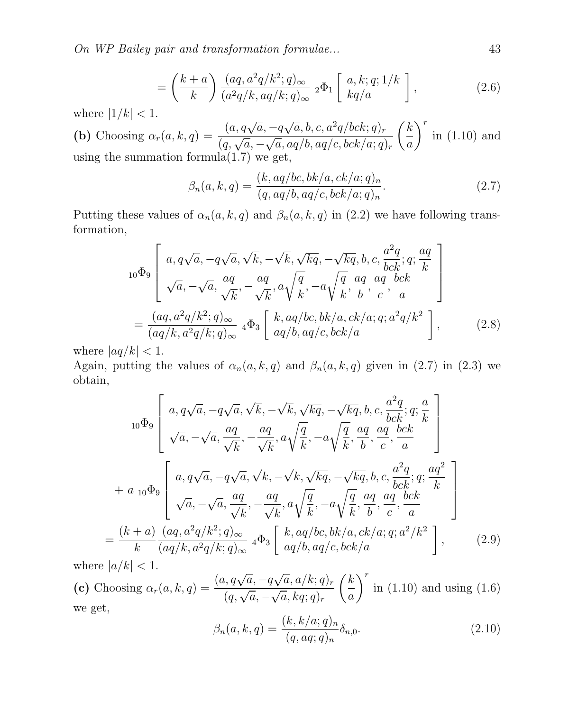On WP Bailey pair and transformation formulae... 43

$$
= \left(\frac{k+a}{k}\right) \frac{(aq, a^2q/k^2; q)_{\infty}}{(a^2q/k, aq/k; q)_{\infty}} \, {}_2\Phi_1 \left[\begin{array}{c} a, k; q; 1/k\\ kq/a \end{array}\right],\tag{2.6}
$$

where 
$$
|1/k| < 1
$$
.  
\n**(b)** Choosing  $\alpha_r(a, k, q) = \frac{(a, q\sqrt{a}, -q\sqrt{a}, b, c, a^2q/bck; q)_r}{(q, \sqrt{a}, -\sqrt{a}, aq/b, aq/c, bck/a; q)_r} \left(\frac{k}{a}\right)^r$  in (1.10) and using the summation formula(1.7) we get,

$$
\beta_n(a, k, q) = \frac{(k, aq/bc, bk/a, ck/a; q)_n}{(q, aq/b, aq/c, bck/a; q)_n}.
$$
\n(2.7)

Putting these values of  $\alpha_n(a, k, q)$  and  $\beta_n(a, k, q)$  in (2.2) we have following transformation,

$$
{}_{10}\Phi_{9}\left[a,q\sqrt{a},-q\sqrt{a},\sqrt{k},-\sqrt{k},\sqrt{kq},-\sqrt{kq},b,c,\frac{a^{2}q}{bck};q;\frac{aq}{k}\right] \n\sqrt{a},-\sqrt{a},\frac{aq}{\sqrt{k}},-\frac{aq}{\sqrt{k}},a\sqrt{\frac{q}{k}},-a\sqrt{\frac{q}{k}},\frac{aq}{b},\frac{aq}{c},\frac{bck}{a}\right] \n= \frac{(aq,a^{2}q/k^{2};q)_{\infty}}{(aq/k,a^{2}q/k;q)_{\infty}} {}_{4}\Phi_{3}\left[k,aq/bc,bk/a,ck/a;q;a^{2}q/k^{2}\right],
$$
\n(2.8)

where  $|aq/k| < 1$ .

Again, putting the values of  $\alpha_n(a, k, q)$  and  $\beta_n(a, k, q)$  given in (2.7) in (2.3) we obtain,

$$
{}_{10}\Phi_{9}\left[\begin{array}{c} a,q\sqrt{a},-q\sqrt{a},\sqrt{k},-\sqrt{k},\sqrt{kq},-\sqrt{kq},b,c,\frac{a^{2}q}{bck};q;\frac{a}{k}\\ \sqrt{a},-\sqrt{a},\frac{aq}{\sqrt{k}},-\frac{aq}{\sqrt{k}},a\sqrt{\frac{q}{k}},-a\sqrt{\frac{q}{k}},\frac{aq}{b},\frac{aq}{c},\frac{bck}{a}\end{array}\right] + a_{10}\Phi_{9}\left[\begin{array}{c} a,q\sqrt{a},-q\sqrt{a},\sqrt{k},-\sqrt{k},\sqrt{kq},-\sqrt{kq},b,c,\frac{a^{2}q}{bck};q;\frac{aq^{2}}{k}\\ \sqrt{a},-\sqrt{a},\frac{aq}{\sqrt{k}},-\frac{aq}{\sqrt{k}},a\sqrt{\frac{q}{k}},-a\sqrt{\frac{q}{k}},\frac{aq}{b},\frac{aq}{c},\frac{bck}{a}\end{array}\right] \frac{(k+a)}{k}\frac{(aq,a^{2}q/k^{2};q)_{\infty}}{(aq/k,a^{2}q/k;q)_{\infty}} {}_{4}\Phi_{3}\left[\begin{array}{c} k,aq/bc,bk/a,ck/a;q;a^{2}/k^{2} \\ aq/b,aq/c,bck/a\end{array}\right], \qquad (2.9)
$$

where  $|a/k| < 1$ .

=

where  $|a/\kappa| < 1$ .<br>(c) Choosing  $\alpha_r(a, k, q) = \frac{(a, q\sqrt{q})}{(q\sqrt{q})^2}$  $\overline{a}, -q$ √  $\frac{a}{(q,\sqrt{a},-\sqrt{a},kq;q)_r} \frac{q}{(q,\sqrt{a},-\sqrt{a},kq;q)_r}$ √  $\overline{a}, kq; q)_r$  $\sqrt{k}$ a  $\bigwedge^r$ in (1.10) and using (1.6) we get,

$$
\beta_n(a, k, q) = \frac{(k, k/a; q)_n}{(q, aq; q)_n} \delta_{n,0}.
$$
\n(2.10)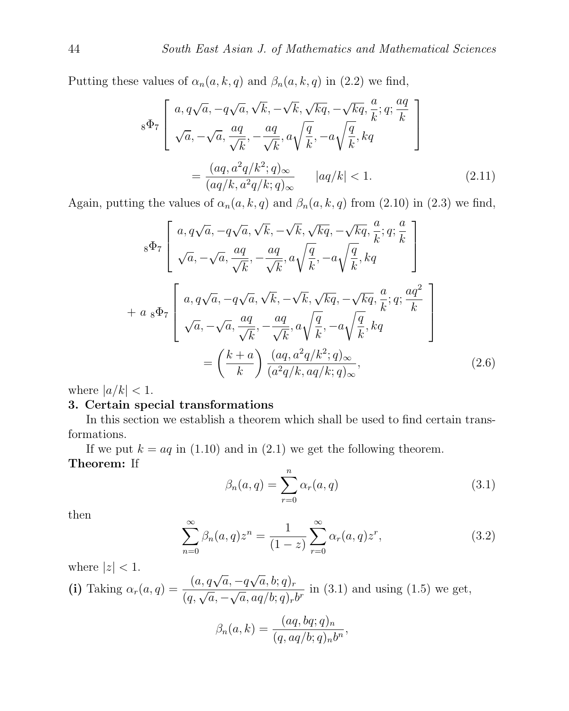Putting these values of  $\alpha_n(a, k, q)$  and  $\beta_n(a, k, q)$  in (2.2) we find,

$$
s\Phi_7 \left[ a, q\sqrt{a}, -q\sqrt{a}, \sqrt{k}, -\sqrt{k}, \sqrt{kq}, -\sqrt{kq}, \frac{a}{k}; q; \frac{aq}{k} \right]
$$
  

$$
s\Phi_7 \left[ \sqrt{a}, -\sqrt{a}, \frac{aq}{\sqrt{k}}, -\frac{aq}{\sqrt{k}}, a\sqrt{\frac{q}{k}}, -a\sqrt{\frac{q}{k}}, kq \right]
$$
  

$$
= \frac{(aq, a^2q/k^2; q)_{\infty}}{(aq/k, a^2q/k; q)_{\infty}} |aq/k| < 1.
$$
 (2.11)

Again, putting the values of  $\alpha_n(a, k, q)$  and  $\beta_n(a, k, q)$  from (2.10) in (2.3) we find,

$$
{}_{8}\Phi_{7}\left[\begin{array}{c} a,q\sqrt{a},-q\sqrt{a},\sqrt{k},-\sqrt{k},\sqrt{kq},-\sqrt{kq},\frac{a}{k};q;\frac{a}{k} \\ \sqrt{a},-\sqrt{a},\frac{aq}{\sqrt{k}},-\frac{aq}{\sqrt{k}},a\sqrt{\frac{q}{k}},-a\sqrt{\frac{q}{k}},kq \end{array}\right]
$$
  
+  $a {}_{8}\Phi_{7}\left[\begin{array}{c} a,q\sqrt{a},-q\sqrt{a},\sqrt{k},-\sqrt{k},\sqrt{kq},-\sqrt{kq},\frac{a}{k};q;\frac{aq^{2}}{k} \\ \sqrt{a},-\sqrt{a},\frac{aq}{\sqrt{k}},-\frac{aq}{\sqrt{k}},a\sqrt{\frac{q}{k}},-a\sqrt{\frac{q}{k}},kq \end{array}\right]$   
=  $\left(\frac{k+a}{k}\right)\frac{(aq,a^{2}q/k^{2};q)_{\infty}}{(a^{2}q/k,aq/k;q)_{\infty}},$  (2.6)

where  $|a/k| < 1$ .

## 3. Certain special transformations

In this section we establish a theorem which shall be used to find certain transformations.

If we put  $k = aq$  in (1.10) and in (2.1) we get the following theorem. Theorem: If

$$
\beta_n(a,q) = \sum_{r=0}^n \alpha_r(a,q) \tag{3.1}
$$

then

$$
\sum_{n=0}^{\infty} \beta_n(a,q) z^n = \frac{1}{(1-z)} \sum_{r=0}^{\infty} \alpha_r(a,q) z^r,
$$
\n(3.2)

where 
$$
|z| < 1
$$
.  
\n(i) Taking  $\alpha_r(a, q) = \frac{(a, q\sqrt{a}, -q\sqrt{a}, b; q)_r}{(q, \sqrt{a}, -\sqrt{a}, aq/b; q)_r b^r}$  in (3.1) and using (1.5) we get,

$$
\beta_n(a,k) = \frac{(aq, bq;q)_n}{(q, aq/b;q)_n b^n},
$$